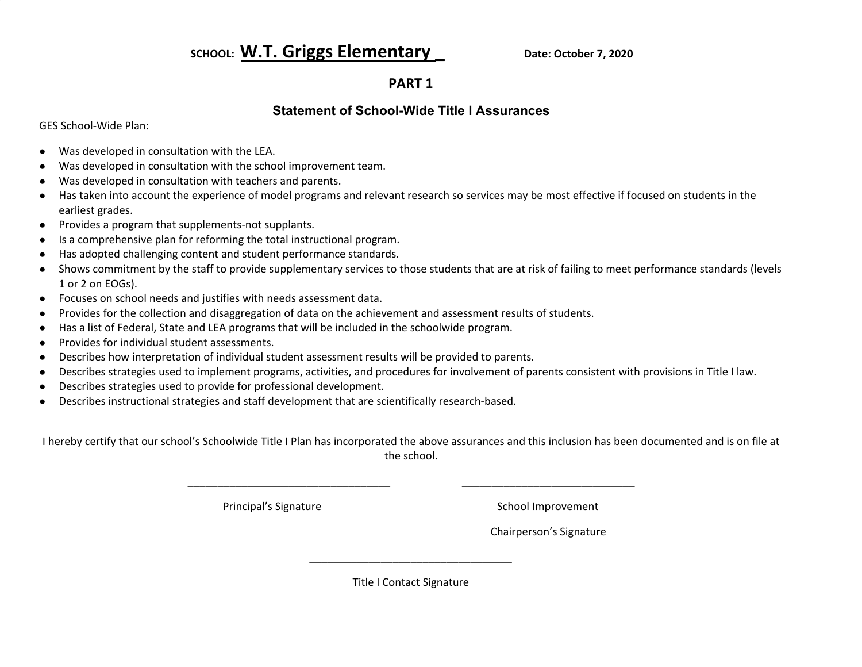**SCHOOL: W.T. Griggs Elementary \_ Date: October 7, <sup>2020</sup>**

# **PART 1**

# **Statement of School-Wide Title I Assurances**

GES School-Wide Plan:

- Was developed in consultation with the LEA.
- Was developed in consultation with the school improvement team.
- Was developed in consultation with teachers and parents.
- Has taken into account the experience of model programs and relevant research so services may be most effective if focused on students in the earliest grades.
- Provides a program that supplements-not supplants.
- Is a comprehensive plan for reforming the total instructional program.
- Has adopted challenging content and student performance standards.
- Shows commitment by the staff to provide supplementary services to those students that are at risk of failing to meet performance standards (levels 1 or 2 on EOGs).
- Focuses on school needs and justifies with needs assessment data.
- Provides for the collection and disaggregation of data on the achievement and assessment results of students.
- Has a list of Federal, State and LEA programs that will be included in the schoolwide program.
- Provides for individual student assessments.
- Describes how interpretation of individual student assessment results will be provided to parents.
- Describes strategies used to implement programs, activities, and procedures for involvement of parents consistent with provisions in Title I law.
- Describes strategies used to provide for professional development.
- Describes instructional strategies and staff development that are scientifically research-based.

I hereby certify that our school's Schoolwide Title I Plan has incorporated the above assurances and this inclusion has been documented and is on file at the school.

\_\_\_\_\_\_\_\_\_\_\_\_\_\_\_\_\_\_\_\_\_\_\_\_\_\_\_\_\_\_\_\_\_\_ \_\_\_\_\_\_\_\_\_\_\_\_\_\_\_\_\_\_\_\_\_\_\_\_\_\_\_\_\_

Principal's Signature School Improvement

Chairperson's Signature

Title I Contact Signature

\_\_\_\_\_\_\_\_\_\_\_\_\_\_\_\_\_\_\_\_\_\_\_\_\_\_\_\_\_\_\_\_\_\_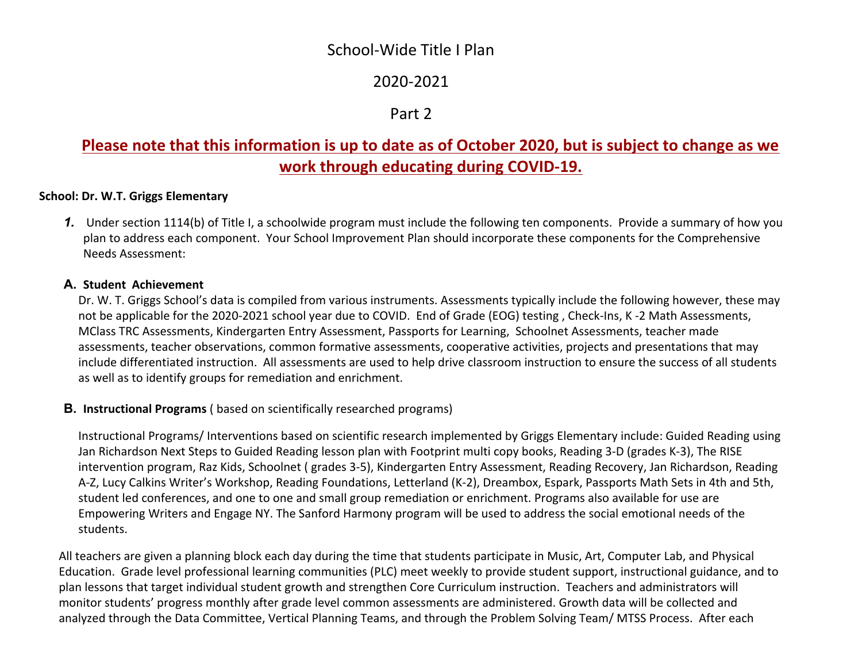# School-Wide Title I Plan

# 2020-2021

# Part 2

# Please note that this information is up to date as of October 2020, but is subject to change as we **work through educating during COVID-19.**

#### **School: Dr. W.T. Griggs Elementary**

*1.* Under section 1114(b) of Title I, a schoolwide program must include the following ten components. Provide a summary of how you plan to address each component. Your School Improvement Plan should incorporate these components for the Comprehensive Needs Assessment:

#### **A. Student Achievement**

Dr. W. T. Griggs School's data is compiled from various instruments. Assessments typically include the following however, these may not be applicable for the 2020-2021 school year due to COVID. End of Grade (EOG) testing , Check-Ins, K -2 Math Assessments, MClass TRC Assessments, Kindergarten Entry Assessment, Passports for Learning, Schoolnet Assessments, teacher made assessments, teacher observations, common formative assessments, cooperative activities, projects and presentations that may include differentiated instruction. All assessments are used to help drive classroom instruction to ensure the success of all students as well as to identify groups for remediation and enrichment.

## **B. Instructional Programs** ( based on scientifically researched programs)

Instructional Programs/ Interventions based on scientific research implemented by Griggs Elementary include: Guided Reading using Jan Richardson Next Steps to Guided Reading lesson plan with Footprint multi copy books, Reading 3-D (grades K-3), The RISE intervention program, Raz Kids, Schoolnet ( grades 3-5), Kindergarten Entry Assessment, Reading Recovery, Jan Richardson, Reading A-Z, Lucy Calkins Writer's Workshop, Reading Foundations, Letterland (K-2), Dreambox, Espark, Passports Math Sets in 4th and 5th, student led conferences, and one to one and small group remediation or enrichment. Programs also available for use are Empowering Writers and Engage NY. The Sanford Harmony program will be used to address the social emotional needs of the students.

All teachers are given a planning block each day during the time that students participate in Music, Art, Computer Lab, and Physical Education. Grade level professional learning communities (PLC) meet weekly to provide student support, instructional guidance, and to plan lessons that target individual student growth and strengthen Core Curriculum instruction. Teachers and administrators will monitor students' progress monthly after grade level common assessments are administered. Growth data will be collected and analyzed through the Data Committee, Vertical Planning Teams, and through the Problem Solving Team/ MTSS Process. After each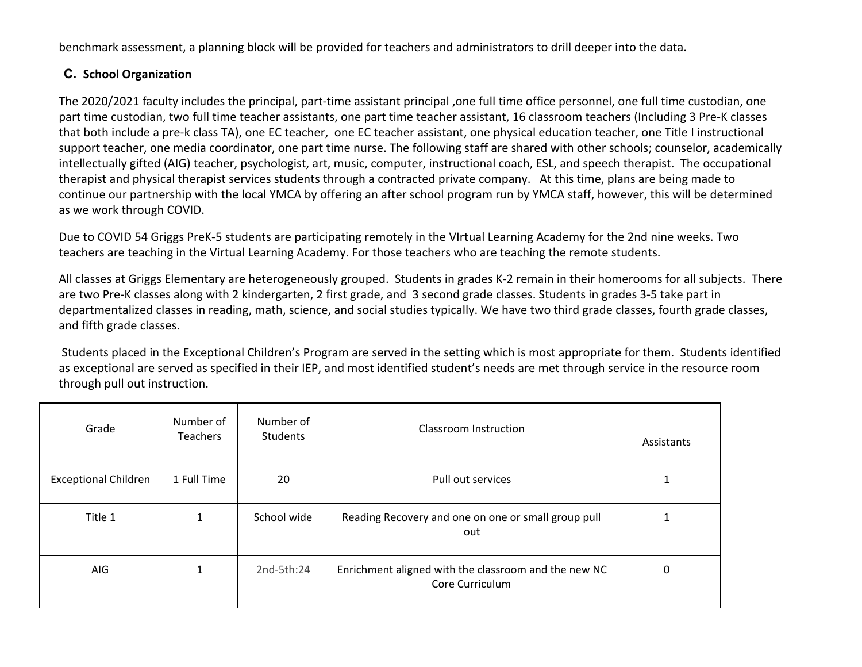benchmark assessment, a planning block will be provided for teachers and administrators to drill deeper into the data.

# **C. School Organization**

The 2020/2021 faculty includes the principal, part-time assistant principal ,one full time office personnel, one full time custodian, one part time custodian, two full time teacher assistants, one part time teacher assistant, 16 classroom teachers (Including 3 Pre-K classes that both include a pre-k class TA), one EC teacher, one EC teacher assistant, one physical education teacher, one Title I instructional support teacher, one media coordinator, one part time nurse. The following staff are shared with other schools; counselor, academically intellectually gifted (AIG) teacher, psychologist, art, music, computer, instructional coach, ESL, and speech therapist. The occupational therapist and physical therapist services students through a contracted private company. At this time, plans are being made to continue our partnership with the local YMCA by offering an after school program run by YMCA staff, however, this will be determined as we work through COVID.

Due to COVID 54 Griggs PreK-5 students are participating remotely in the VIrtual Learning Academy for the 2nd nine weeks. Two teachers are teaching in the Virtual Learning Academy. For those teachers who are teaching the remote students.

All classes at Griggs Elementary are heterogeneously grouped. Students in grades K-2 remain in their homerooms for all subjects. There are two Pre-K classes along with 2 kindergarten, 2 first grade, and 3 second grade classes. Students in grades 3-5 take part in departmentalized classes in reading, math, science, and social studies typically. We have two third grade classes, fourth grade classes, and fifth grade classes.

 Students placed in the Exceptional Children's Program are served in the setting which is most appropriate for them. Students identified as exceptional are served as specified in their IEP, and most identified student's needs are met through service in the resource room through pull out instruction.

| Grade                       | Number of<br><b>Teachers</b> | Number of<br>Students | Classroom Instruction                                                   | Assistants |
|-----------------------------|------------------------------|-----------------------|-------------------------------------------------------------------------|------------|
| <b>Exceptional Children</b> | 1 Full Time                  | 20                    | Pull out services                                                       |            |
| Title 1                     | $\mathbf{1}$                 | School wide           | Reading Recovery and one on one or small group pull<br>out              |            |
| <b>AIG</b>                  | 1                            | 2nd-5th:24            | Enrichment aligned with the classroom and the new NC<br>Core Curriculum | 0          |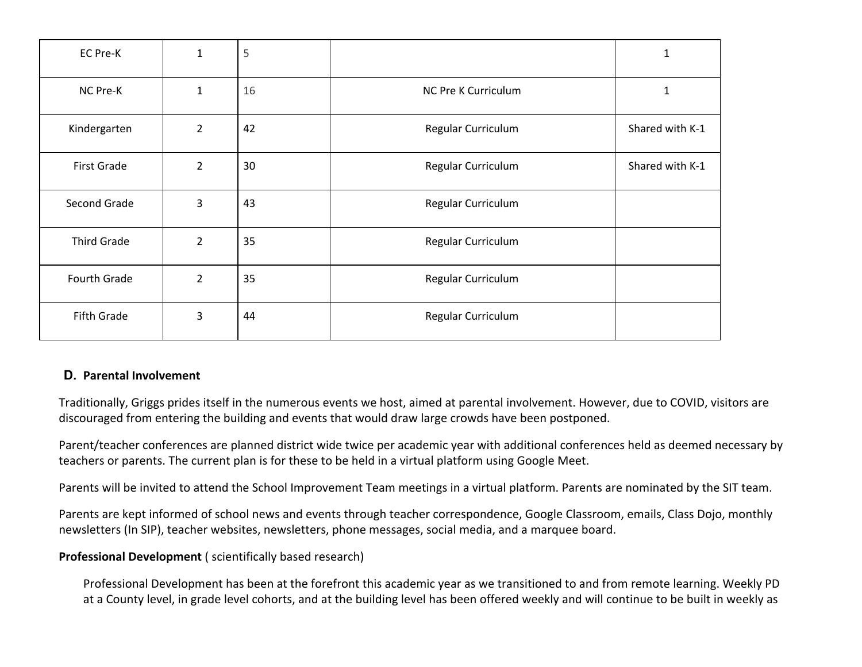| EC Pre-K           | $\mathbf{1}$   | 5  |                     | 1               |
|--------------------|----------------|----|---------------------|-----------------|
| NC Pre-K           | $\mathbf{1}$   | 16 | NC Pre K Curriculum | 1               |
| Kindergarten       | $\overline{2}$ | 42 | Regular Curriculum  | Shared with K-1 |
| <b>First Grade</b> | $\overline{2}$ | 30 | Regular Curriculum  | Shared with K-1 |
| Second Grade       | 3              | 43 | Regular Curriculum  |                 |
| <b>Third Grade</b> | $\overline{2}$ | 35 | Regular Curriculum  |                 |
| Fourth Grade       | $\overline{2}$ | 35 | Regular Curriculum  |                 |
| <b>Fifth Grade</b> | 3              | 44 | Regular Curriculum  |                 |

## **D. Parental Involvement**

Traditionally, Griggs prides itself in the numerous events we host, aimed at parental involvement. However, due to COVID, visitors are discouraged from entering the building and events that would draw large crowds have been postponed.

Parent/teacher conferences are planned district wide twice per academic year with additional conferences held as deemed necessary by teachers or parents. The current plan is for these to be held in a virtual platform using Google Meet.

Parents will be invited to attend the School Improvement Team meetings in a virtual platform. Parents are nominated by the SIT team.

Parents are kept informed of school news and events through teacher correspondence, Google Classroom, emails, Class Dojo, monthly newsletters (In SIP), teacher websites, newsletters, phone messages, social media, and a marquee board.

## **Professional Development** ( scientifically based research)

Professional Development has been at the forefront this academic year as we transitioned to and from remote learning. Weekly PD at a County level, in grade level cohorts, and at the building level has been offered weekly and will continue to be built in weekly as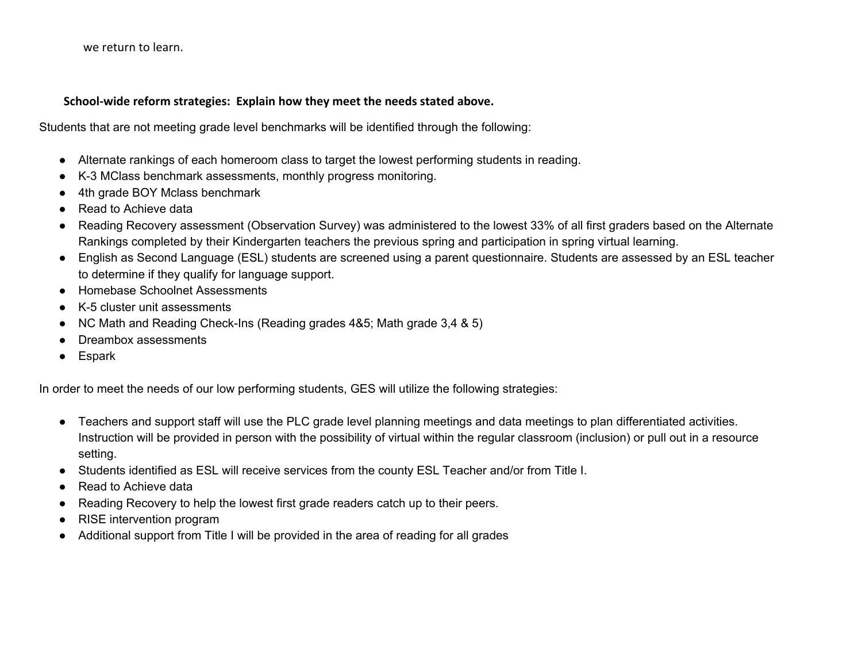we return to learn.

## **School-wide reform strategies: Explain how they meet the needs stated above.**

Students that are not meeting grade level benchmarks will be identified through the following:

- Alternate rankings of each homeroom class to target the lowest performing students in reading.
- K-3 MClass benchmark assessments, monthly progress monitoring.
- 4th grade BOY Mclass benchmark
- Read to Achieve data
- Reading Recovery assessment (Observation Survey) was administered to the lowest 33% of all first graders based on the Alternate Rankings completed by their Kindergarten teachers the previous spring and participation in spring virtual learning.
- English as Second Language (ESL) students are screened using a parent questionnaire. Students are assessed by an ESL teacher to determine if they qualify for language support.
- Homebase Schoolnet Assessments
- K-5 cluster unit assessments
- NC Math and Reading Check-Ins (Reading grades 4&5; Math grade 3,4 & 5)
- Dreambox assessments
- Espark

In order to meet the needs of our low performing students, GES will utilize the following strategies:

- Teachers and support staff will use the PLC grade level planning meetings and data meetings to plan differentiated activities. Instruction will be provided in person with the possibility of virtual within the regular classroom (inclusion) or pull out in a resource setting.
- Students identified as ESL will receive services from the county ESL Teacher and/or from Title I.
- Read to Achieve data
- Reading Recovery to help the lowest first grade readers catch up to their peers.
- RISE intervention program
- Additional support from Title I will be provided in the area of reading for all grades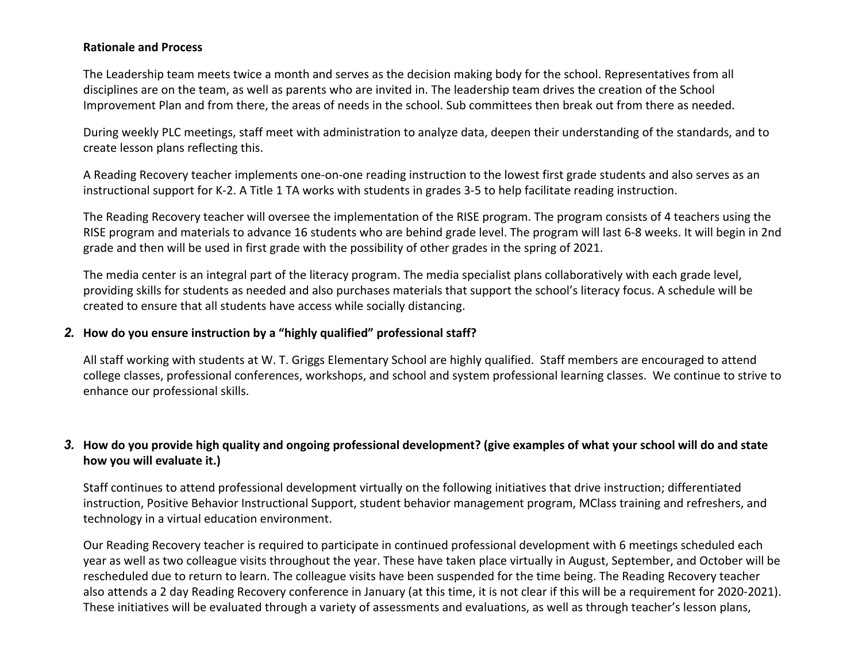#### **Rationale and Process**

The Leadership team meets twice a month and serves as the decision making body for the school. Representatives from all disciplines are on the team, as well as parents who are invited in. The leadership team drives the creation of the School Improvement Plan and from there, the areas of needs in the school. Sub committees then break out from there as needed.

During weekly PLC meetings, staff meet with administration to analyze data, deepen their understanding of the standards, and to create lesson plans reflecting this.

A Reading Recovery teacher implements one-on-one reading instruction to the lowest first grade students and also serves as an instructional support for K-2. A Title 1 TA works with students in grades 3-5 to help facilitate reading instruction.

The Reading Recovery teacher will oversee the implementation of the RISE program. The program consists of 4 teachers using the RISE program and materials to advance 16 students who are behind grade level. The program will last 6-8 weeks. It will begin in 2nd grade and then will be used in first grade with the possibility of other grades in the spring of 2021.

The media center is an integral part of the literacy program. The media specialist plans collaboratively with each grade level, providing skills for students as needed and also purchases materials that support the school's literacy focus. A schedule will be created to ensure that all students have access while socially distancing.

## *2.* **How do you ensure instruction by a "highly qualified" professional staff?**

All staff working with students at W. T. Griggs Elementary School are highly qualified. Staff members are encouraged to attend college classes, professional conferences, workshops, and school and system professional learning classes. We continue to strive to enhance our professional skills.

# *3.* **How do you provide high quality and ongoing professional development? (give examples of what your school will do and state how you will evaluate it.)**

Staff continues to attend professional development virtually on the following initiatives that drive instruction; differentiated instruction, Positive Behavior Instructional Support, student behavior management program, MClass training and refreshers, and technology in a virtual education environment.

Our Reading Recovery teacher is required to participate in continued professional development with 6 meetings scheduled each year as well as two colleague visits throughout the year. These have taken place virtually in August, September, and October will be rescheduled due to return to learn. The colleague visits have been suspended for the time being. The Reading Recovery teacher also attends a 2 day Reading Recovery conference in January (at this time, it is not clear if this will be a requirement for 2020-2021). These initiatives will be evaluated through a variety of assessments and evaluations, as well as through teacher's lesson plans,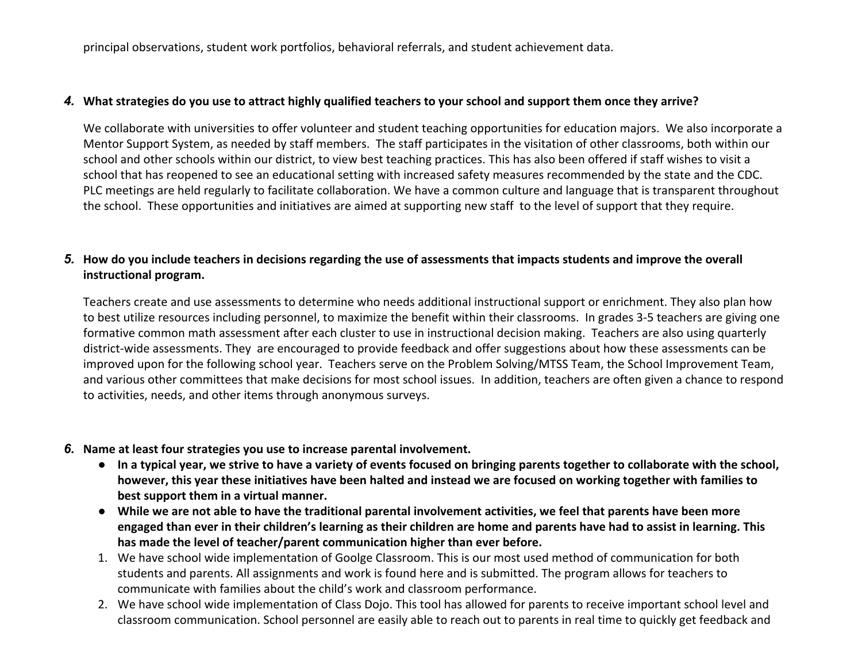principal observations, student work portfolios, behavioral referrals, and student achievement data.

## *4.* **What strategies do you use to attract highly qualified teachers to your school and support them once they arrive?**

We collaborate with universities to offer volunteer and student teaching opportunities for education majors. We also incorporate a Mentor Support System, as needed by staff members. The staff participates in the visitation of other classrooms, both within our school and other schools within our district, to view best teaching practices. This has also been offered if staff wishes to visit a school that has reopened to see an educational setting with increased safety measures recommended by the state and the CDC. PLC meetings are held regularly to facilitate collaboration. We have a common culture and language that is transparent throughout the school. These opportunities and initiatives are aimed at supporting new staff to the level of support that they require.

# *5.* **How do you include teachers in decisions regarding the use of assessments that impacts students and improve the overall instructional program.**

Teachers create and use assessments to determine who needs additional instructional support or enrichment. They also plan how to best utilize resources including personnel, to maximize the benefit within their classrooms. In grades 3-5 teachers are giving one formative common math assessment after each cluster to use in instructional decision making. Teachers are also using quarterly district-wide assessments. They are encouraged to provide feedback and offer suggestions about how these assessments can be improved upon for the following school year. Teachers serve on the Problem Solving/MTSS Team, the School Improvement Team, and various other committees that make decisions for most school issues. In addition, teachers are often given a chance to respond to activities, needs, and other items through anonymous surveys.

## *6.* **Name at least four strategies you use to increase parental involvement.**

- **● In a typical year, we strive to have a variety of events focused on bringing parents together to collaborate with the school, however, this year these initiatives have been halted and instead we are focused on working together with families to best support them in a virtual manner.**
- **● While we are not able to have the traditional parental involvement activities, we feel that parents have been more engaged than ever in their children's learning as their children are home and parents have had to assist in learning. This has made the level of teacher/parent communication higher than ever before.**
- 1. We have school wide implementation of Goolge Classroom. This is our most used method of communication for both students and parents. All assignments and work is found here and is submitted. The program allows for teachers to communicate with families about the child's work and classroom performance.
- 2. We have school wide implementation of Class Dojo. This tool has allowed for parents to receive important school level and classroom communication. School personnel are easily able to reach out to parents in real time to quickly get feedback and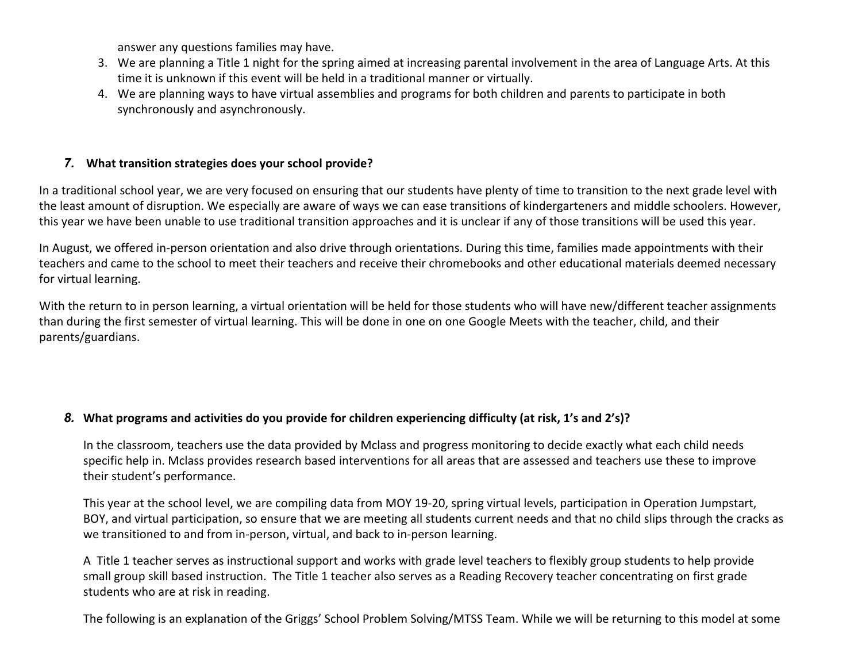answer any questions families may have.

- 3. We are planning a Title 1 night for the spring aimed at increasing parental involvement in the area of Language Arts. At this time it is unknown if this event will be held in a traditional manner or virtually.
- 4. We are planning ways to have virtual assemblies and programs for both children and parents to participate in both synchronously and asynchronously.

# *7.* **What transition strategies does your school provide?**

In a traditional school year, we are very focused on ensuring that our students have plenty of time to transition to the next grade level with the least amount of disruption. We especially are aware of ways we can ease transitions of kindergarteners and middle schoolers. However, this year we have been unable to use traditional transition approaches and it is unclear if any of those transitions will be used this year.

In August, we offered in-person orientation and also drive through orientations. During this time, families made appointments with their teachers and came to the school to meet their teachers and receive their chromebooks and other educational materials deemed necessary for virtual learning.

With the return to in person learning, a virtual orientation will be held for those students who will have new/different teacher assignments than during the first semester of virtual learning. This will be done in one on one Google Meets with the teacher, child, and their parents/guardians.

# *8.* **What programs and activities do you provide for children experiencing difficulty (at risk, 1's and 2's)?**

In the classroom, teachers use the data provided by Mclass and progress monitoring to decide exactly what each child needs specific help in. Mclass provides research based interventions for all areas that are assessed and teachers use these to improve their student's performance.

This year at the school level, we are compiling data from MOY 19-20, spring virtual levels, participation in Operation Jumpstart, BOY, and virtual participation, so ensure that we are meeting all students current needs and that no child slips through the cracks as we transitioned to and from in-person, virtual, and back to in-person learning.

A Title 1 teacher serves as instructional support and works with grade level teachers to flexibly group students to help provide small group skill based instruction. The Title 1 teacher also serves as a Reading Recovery teacher concentrating on first grade students who are at risk in reading.

The following is an explanation of the Griggs' School Problem Solving/MTSS Team. While we will be returning to this model at some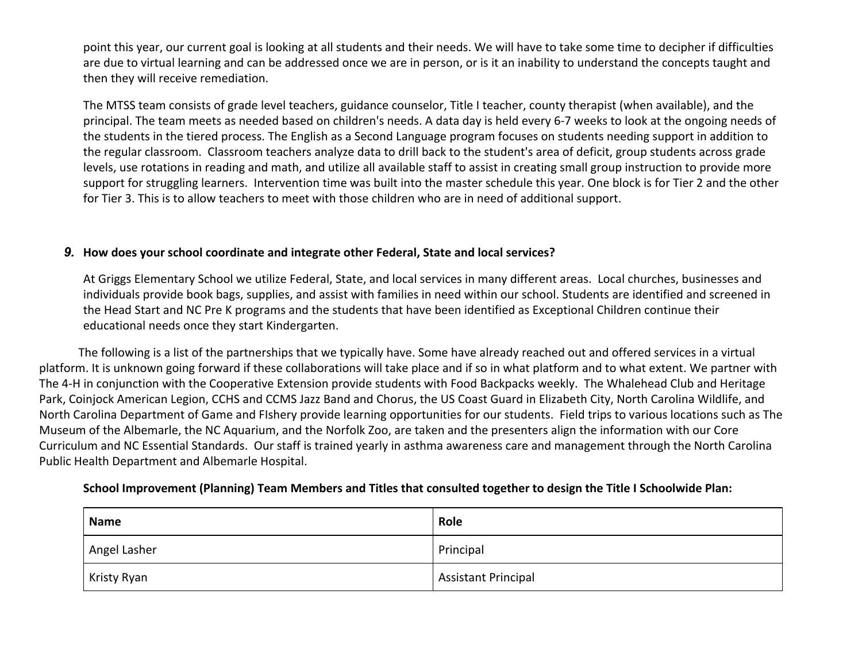point this year, our current goal is looking at all students and their needs. We will have to take some time to decipher if difficulties are due to virtual learning and can be addressed once we are in person, or is it an inability to understand the concepts taught and then they will receive remediation.

The MTSS team consists of grade level teachers, guidance counselor, Title I teacher, county therapist (when available), and the principal. The team meets as needed based on children's needs. A data day is held every 6-7 weeks to look at the ongoing needs of the students in the tiered process. The English as a Second Language program focuses on students needing support in addition to the regular classroom. Classroom teachers analyze data to drill back to the student's area of deficit, group students across grade levels, use rotations in reading and math, and utilize all available staff to assist in creating small group instruction to provide more support for struggling learners. Intervention time was built into the master schedule this year. One block is for Tier 2 and the other for Tier 3. This is to allow teachers to meet with those children who are in need of additional support.

## *9.* **How does your school coordinate and integrate other Federal, State and local services?**

At Griggs Elementary School we utilize Federal, State, and local services in many different areas. Local churches, businesses and individuals provide book bags, supplies, and assist with families in need within our school. Students are identified and screened in the Head Start and NC Pre K programs and the students that have been identified as Exceptional Children continue their educational needs once they start Kindergarten.

The following is a list of the partnerships that we typically have. Some have already reached out and offered services in a virtual platform. It is unknown going forward if these collaborations will take place and if so in what platform and to what extent. We partner with The 4-H in conjunction with the Cooperative Extension provide students with Food Backpacks weekly. The Whalehead Club and Heritage Park, Coinjock American Legion, CCHS and CCMS Jazz Band and Chorus, the US Coast Guard in Elizabeth City, North Carolina Wildlife, and North Carolina Department of Game and FIshery provide learning opportunities for our students. Field trips to various locations such as The Museum of the Albemarle, the NC Aquarium, and the Norfolk Zoo, are taken and the presenters align the information with our Core Curriculum and NC Essential Standards. Our staff is trained yearly in asthma awareness care and management through the North Carolina Public Health Department and Albemarle Hospital.

| <b>Name</b>  | Role                       |
|--------------|----------------------------|
| Angel Lasher | Principal                  |
| Kristy Ryan  | <b>Assistant Principal</b> |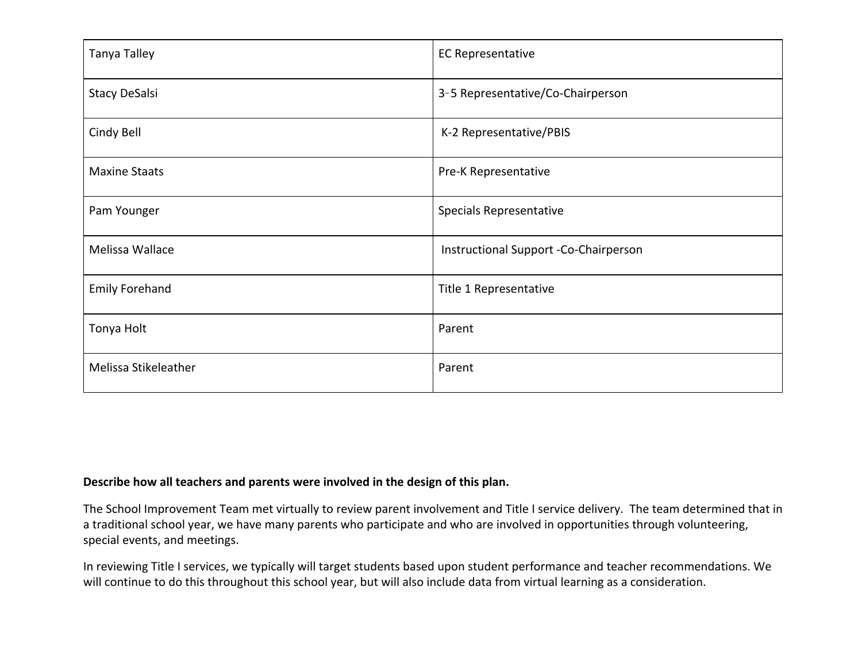| Tanya Talley          | <b>EC Representative</b>              |
|-----------------------|---------------------------------------|
| <b>Stacy DeSalsi</b>  | 3-5 Representative/Co-Chairperson     |
| Cindy Bell            | K-2 Representative/PBIS               |
| <b>Maxine Staats</b>  | Pre-K Representative                  |
| Pam Younger           | Specials Representative               |
| Melissa Wallace       | Instructional Support -Co-Chairperson |
| <b>Emily Forehand</b> | Title 1 Representative                |
| Tonya Holt            | Parent                                |
| Melissa Stikeleather  | Parent                                |

## **Describe how all teachers and parents were involved in the design of this plan.**

The School Improvement Team met virtually to review parent involvement and Title I service delivery. The team determined that in a traditional school year, we have many parents who participate and who are involved in opportunities through volunteering, special events, and meetings.

In reviewing Title I services, we typically will target students based upon student performance and teacher recommendations. We will continue to do this throughout this school year, but will also include data from virtual learning as a consideration.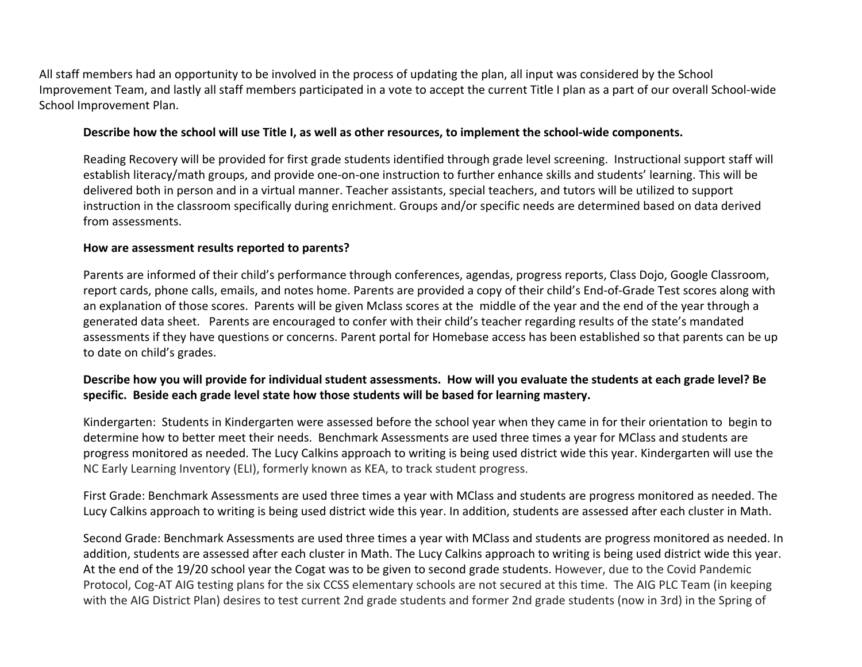All staff members had an opportunity to be involved in the process of updating the plan, all input was considered by the School Improvement Team, and lastly all staff members participated in a vote to accept the current Title I plan as a part of our overall School-wide School Improvement Plan.

#### **Describe how the school will use Title I, as well as other resources, to implement the school-wide components.**

Reading Recovery will be provided for first grade students identified through grade level screening. Instructional support staff will establish literacy/math groups, and provide one-on-one instruction to further enhance skills and students' learning. This will be delivered both in person and in a virtual manner. Teacher assistants, special teachers, and tutors will be utilized to support instruction in the classroom specifically during enrichment. Groups and/or specific needs are determined based on data derived from assessments.

#### **How are assessment results reported to parents?**

Parents are informed of their child's performance through conferences, agendas, progress reports, Class Dojo, Google Classroom, report cards, phone calls, emails, and notes home. Parents are provided a copy of their child's End-of-Grade Test scores along with an explanation of those scores. Parents will be given Mclass scores at the middle of the year and the end of the year through a generated data sheet. Parents are encouraged to confer with their child's teacher regarding results of the state's mandated assessments if they have questions or concerns. Parent portal for Homebase access has been established so that parents can be up to date on child's grades.

# **Describe how you will provide for individual student assessments. How will you evaluate the students at each grade level? Be specific. Beside each grade level state how those students will be based for learning mastery.**

Kindergarten: Students in Kindergarten were assessed before the school year when they came in for their orientation to begin to determine how to better meet their needs. Benchmark Assessments are used three times a year for MClass and students are progress monitored as needed. The Lucy Calkins approach to writing is being used district wide this year. Kindergarten will use the NC Early Learning Inventory (ELI), formerly known as KEA, to track student progress.

First Grade: Benchmark Assessments are used three times a year with MClass and students are progress monitored as needed. The Lucy Calkins approach to writing is being used district wide this year. In addition, students are assessed after each cluster in Math.

Second Grade: Benchmark Assessments are used three times a year with MClass and students are progress monitored as needed. In addition, students are assessed after each cluster in Math. The Lucy Calkins approach to writing is being used district wide this year. At the end of the 19/20 school year the Cogat was to be given to second grade students. However, due to the Covid Pandemic Protocol, Cog-AT AIG testing plans for the six CCSS elementary schools are not secured at this time. The AIG PLC Team (in keeping with the AIG District Plan) desires to test current 2nd grade students and former 2nd grade students (now in 3rd) in the Spring of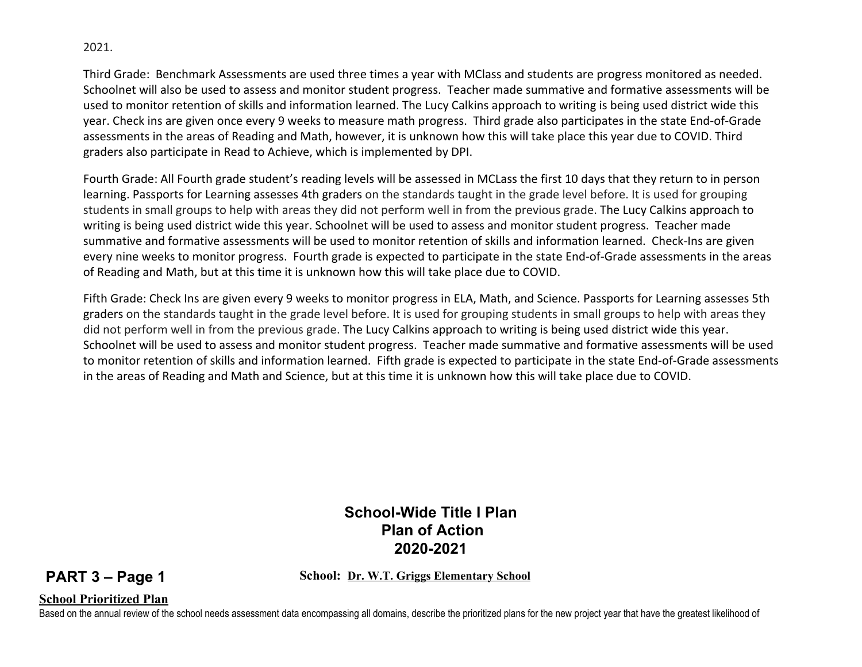2021.

Third Grade: Benchmark Assessments are used three times a year with MClass and students are progress monitored as needed. Schoolnet will also be used to assess and monitor student progress. Teacher made summative and formative assessments will be used to monitor retention of skills and information learned. The Lucy Calkins approach to writing is being used district wide this year. Check ins are given once every 9 weeks to measure math progress. Third grade also participates in the state End-of-Grade assessments in the areas of Reading and Math, however, it is unknown how this will take place this year due to COVID. Third graders also participate in Read to Achieve, which is implemented by DPI.

Fourth Grade: All Fourth grade student's reading levels will be assessed in MCLass the first 10 days that they return to in person learning. Passports for Learning assesses 4th graders on the standards taught in the grade level before. It is used for grouping students in small groups to help with areas they did not perform well in from the previous grade. The Lucy Calkins approach to writing is being used district wide this year. Schoolnet will be used to assess and monitor student progress. Teacher made summative and formative assessments will be used to monitor retention of skills and information learned. Check-Ins are given every nine weeks to monitor progress. Fourth grade is expected to participate in the state End-of-Grade assessments in the areas of Reading and Math, but at this time it is unknown how this will take place due to COVID.

Fifth Grade: Check Ins are given every 9 weeks to monitor progress in ELA, Math, and Science. Passports for Learning assesses 5th graders on the standards taught in the grade level before. It is used for grouping students in small groups to help with areas they did not perform well in from the previous grade. The Lucy Calkins approach to writing is being used district wide this year. Schoolnet will be used to assess and monitor student progress. Teacher made summative and formative assessments will be used to monitor retention of skills and information learned. Fifth grade is expected to participate in the state End-of-Grade assessments in the areas of Reading and Math and Science, but at this time it is unknown how this will take place due to COVID.

# **School-Wide Title I Plan Plan of Action 2020-2021**

**PART 3 – Page 1 School: Dr. W.T. Griggs Elementary School**

**School Prioritized Plan**

Based on the annual review of the school needs assessment data encompassing all domains, describe the prioritized plans for the new project year that have the greatest likelihood of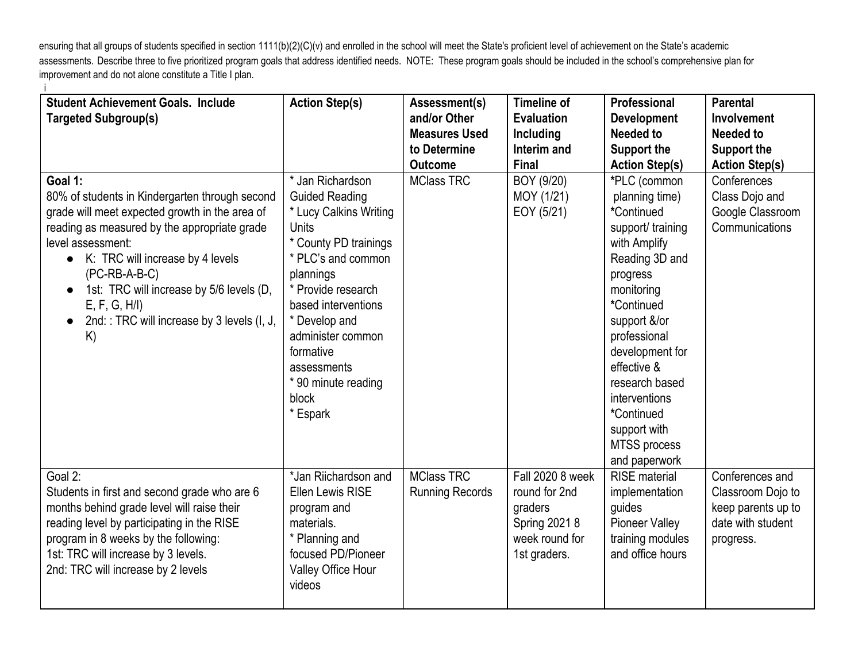ensuring that all groups of students specified in section 1111(b)(2)(C)(v) and enrolled in the school will meet the State's proficient level of achievement on the State's academic assessments. Describe three to five prioritized program goals that address identified needs. NOTE: These program goals should be included in the school's comprehensive plan for improvement and do not alone constitute a Title I plan. i

| <b>Student Achievement Goals, Include</b><br><b>Targeted Subgroup(s)</b>                                                                                                                                                                                                                                                                                              | <b>Action Step(s)</b>                                                                                                                                                                                                                                                                                      | Assessment(s)<br>and/or Other<br><b>Measures Used</b><br>to Determine<br><b>Outcome</b> | <b>Timeline of</b><br><b>Evaluation</b><br>Including<br>Interim and<br>Final                           | Professional<br><b>Development</b><br><b>Needed to</b><br>Support the<br><b>Action Step(s)</b>                                                                                                                                                                                                                  | <b>Parental</b><br><b>Involvement</b><br><b>Needed to</b><br>Support the<br><b>Action Step(s)</b> |
|-----------------------------------------------------------------------------------------------------------------------------------------------------------------------------------------------------------------------------------------------------------------------------------------------------------------------------------------------------------------------|------------------------------------------------------------------------------------------------------------------------------------------------------------------------------------------------------------------------------------------------------------------------------------------------------------|-----------------------------------------------------------------------------------------|--------------------------------------------------------------------------------------------------------|-----------------------------------------------------------------------------------------------------------------------------------------------------------------------------------------------------------------------------------------------------------------------------------------------------------------|---------------------------------------------------------------------------------------------------|
| Goal 1:<br>80% of students in Kindergarten through second<br>grade will meet expected growth in the area of<br>reading as measured by the appropriate grade<br>level assessment:<br>K: TRC will increase by 4 levels<br>$\bullet$<br>$(PC-RB-A-B-C)$<br>1st: TRC will increase by 5/6 levels (D,<br>E, F, G, H/I<br>2nd: : TRC will increase by 3 levels (I, J,<br>K) | * Jan Richardson<br><b>Guided Reading</b><br>* Lucy Calkins Writing<br><b>Units</b><br>* County PD trainings<br>* PLC's and common<br>plannings<br>* Provide research<br>based interventions<br>* Develop and<br>administer common<br>formative<br>assessments<br>* 90 minute reading<br>block<br>* Espark | <b>MClass TRC</b>                                                                       | BOY (9/20)<br>MOY (1/21)<br>EOY (5/21)                                                                 | *PLC (common<br>planning time)<br>*Continued<br>support/ training<br>with Amplify<br>Reading 3D and<br>progress<br>monitoring<br>*Continued<br>support &/or<br>professional<br>development for<br>effective &<br>research based<br>interventions<br>*Continued<br>support with<br>MTSS process<br>and paperwork | Conferences<br>Class Dojo and<br>Google Classroom<br>Communications                               |
| Goal 2:<br>Students in first and second grade who are 6<br>months behind grade level will raise their<br>reading level by participating in the RISE<br>program in 8 weeks by the following:<br>1st: TRC will increase by 3 levels.<br>2nd: TRC will increase by 2 levels                                                                                              | *Jan Riichardson and<br><b>Ellen Lewis RISE</b><br>program and<br>materials.<br>* Planning and<br>focused PD/Pioneer<br>Valley Office Hour<br>videos                                                                                                                                                       | <b>MClass TRC</b><br><b>Running Records</b>                                             | Fall 2020 8 week<br>round for 2nd<br>graders<br><b>Spring 2021 8</b><br>week round for<br>1st graders. | <b>RISE</b> material<br>implementation<br>guides<br><b>Pioneer Valley</b><br>training modules<br>and office hours                                                                                                                                                                                               | Conferences and<br>Classroom Dojo to<br>keep parents up to<br>date with student<br>progress.      |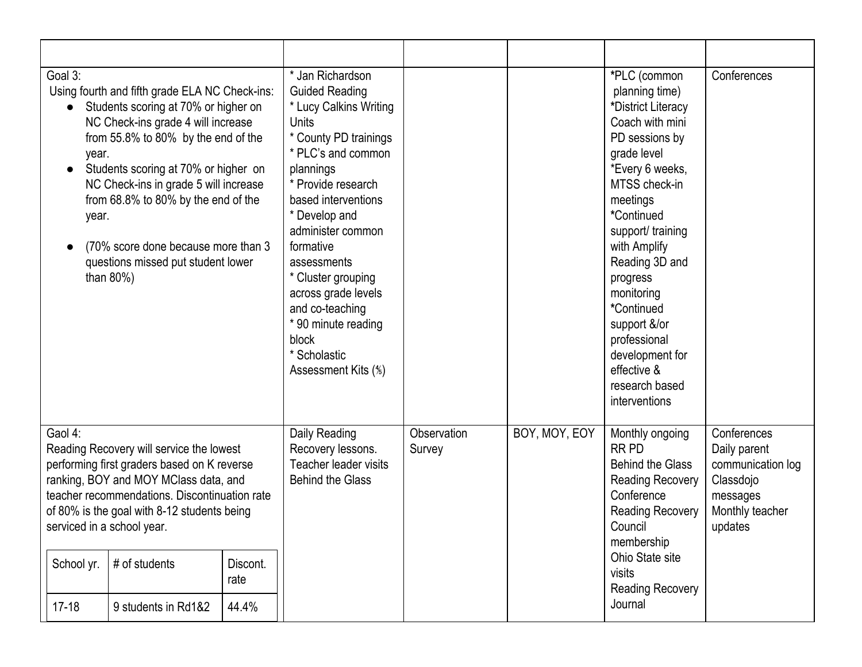| Goal 3:<br>Using fourth and fifth grade ELA NC Check-ins:<br>Students scoring at 70% or higher on<br>NC Check-ins grade 4 will increase<br>from 55.8% to 80% by the end of the<br>year.<br>Students scoring at 70% or higher on<br>NC Check-ins in grade 5 will increase<br>from 68.8% to 80% by the end of the<br>year.<br>(70% score done because more than 3)<br>questions missed put student lower<br>than $80\%$ ) |  | * Jan Richardson<br><b>Guided Reading</b><br>* Lucy Calkins Writing<br>Units<br>* County PD trainings<br>* PLC's and common<br>plannings<br>* Provide research<br>based interventions<br>* Develop and<br>administer common<br>formative<br>assessments<br>* Cluster grouping<br>across grade levels<br>and co-teaching<br>* 90 minute reading<br>block<br>* Scholastic<br>Assessment Kits (%) |                       |               | *PLC (common<br>planning time)<br>*District Literacy<br>Coach with mini<br>PD sessions by<br>grade level<br>*Every 6 weeks,<br>MTSS check-in<br>meetings<br>*Continued<br>support/ training<br>with Amplify<br>Reading 3D and<br>progress<br>monitoring<br>*Continued<br>support &/or<br>professional<br>development for<br>effective &<br>research based<br>interventions | Conferences                                                                                             |
|-------------------------------------------------------------------------------------------------------------------------------------------------------------------------------------------------------------------------------------------------------------------------------------------------------------------------------------------------------------------------------------------------------------------------|--|------------------------------------------------------------------------------------------------------------------------------------------------------------------------------------------------------------------------------------------------------------------------------------------------------------------------------------------------------------------------------------------------|-----------------------|---------------|----------------------------------------------------------------------------------------------------------------------------------------------------------------------------------------------------------------------------------------------------------------------------------------------------------------------------------------------------------------------------|---------------------------------------------------------------------------------------------------------|
| Gaol 4:<br>Reading Recovery will service the lowest<br>performing first graders based on K reverse<br>ranking, BOY and MOY MClass data, and<br>teacher recommendations. Discontinuation rate<br>of 80% is the goal with 8-12 students being<br>serviced in a school year.<br>School yr.<br># of students<br>Discont.<br>rate<br>$17-18$<br>44.4%<br>9 students in Rd1&2                                                 |  | Daily Reading<br>Recovery lessons.<br>Teacher leader visits<br><b>Behind the Glass</b>                                                                                                                                                                                                                                                                                                         | Observation<br>Survey | BOY, MOY, EOY | Monthly ongoing<br><b>RRPD</b><br><b>Behind the Glass</b><br><b>Reading Recovery</b><br>Conference<br><b>Reading Recovery</b><br>Council<br>membership<br>Ohio State site<br>visits<br><b>Reading Recovery</b><br>Journal                                                                                                                                                  | Conferences<br>Daily parent<br>communication log<br>Classdojo<br>messages<br>Monthly teacher<br>updates |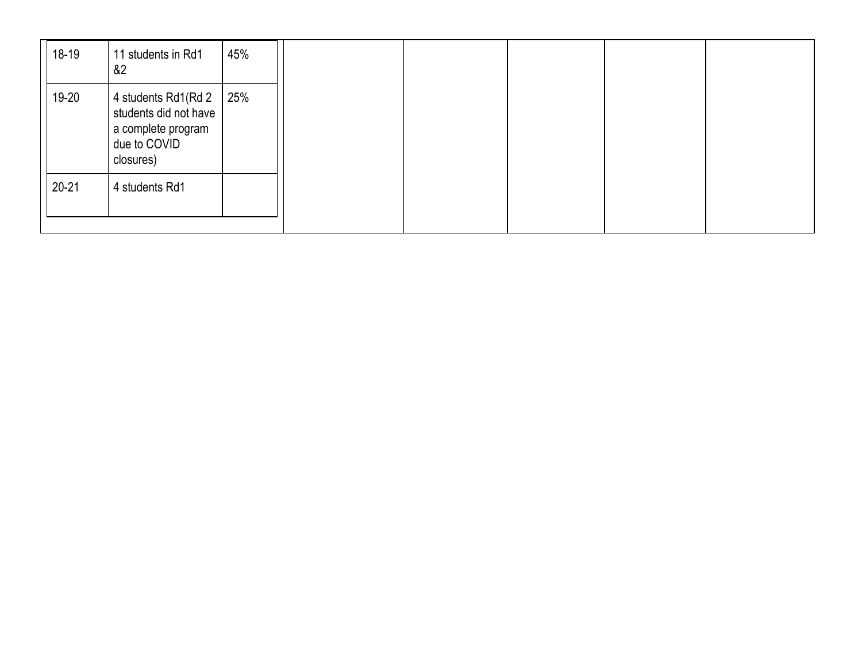| $18-19$   | 11 students in Rd1<br>&2                                                                        | 45% |  |  |  |  |
|-----------|-------------------------------------------------------------------------------------------------|-----|--|--|--|--|
| 19-20     | 4 students Rd1(Rd 2<br>students did not have<br>a complete program<br>due to COVID<br>closures) | 25% |  |  |  |  |
| $20 - 21$ | 4 students Rd1                                                                                  |     |  |  |  |  |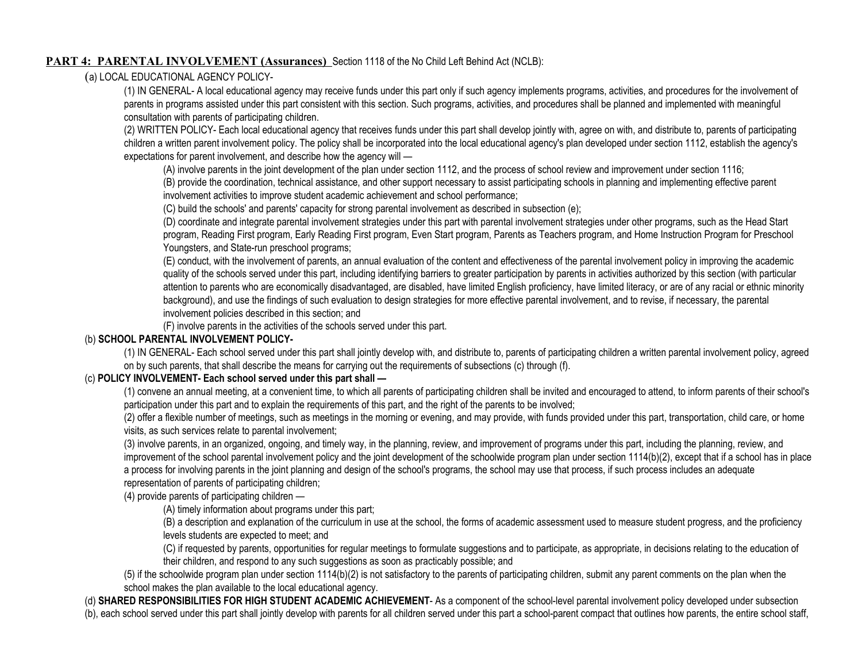#### **PART 4: PARENTAL INVOLVEMENT (Assurances)** Section 1118 of the No Child Left Behind Act (NCLB):

#### (a) LOCAL EDUCATIONAL AGENCY POLICY-

(1) IN GENERAL- A local educational agency may receive funds under this part only if such agency implements programs, activities, and procedures for the involvement of parents in programs assisted under this part consistent with this section. Such programs, activities, and procedures shall be planned and implemented with meaningful consultation with parents of participating children.

(2) WRITTEN POLICY- Each local educational agency that receives funds under this part shall develop jointly with, agree on with, and distribute to, parents of participating children a written parent involvement policy. The policy shall be incorporated into the local educational agency's plan developed under section 1112, establish the agency's expectations for parent involvement, and describe how the agency will —

(A) involve parents in the joint development of the plan under section 1112, and the process of school review and improvement under section 1116; (B) provide the coordination, technical assistance, and other support necessary to assist participating schools in planning and implementing effective parent involvement activities to improve student academic achievement and school performance;

(C) build the schools' and parents' capacity for strong parental involvement as described in subsection (e);

(D) coordinate and integrate parental involvement strategies under this part with parental involvement strategies under other programs, such as the Head Start program, Reading First program, Early Reading First program, Even Start program, Parents as Teachers program, and Home Instruction Program for Preschool Youngsters, and State-run preschool programs;

(E) conduct, with the involvement of parents, an annual evaluation of the content and effectiveness of the parental involvement policy in improving the academic quality of the schools served under this part, including identifying barriers to greater participation by parents in activities authorized by this section (with particular attention to parents who are economically disadvantaged, are disabled, have limited English proficiency, have limited literacy, or are of any racial or ethnic minority background), and use the findings of such evaluation to design strategies for more effective parental involvement, and to revise, if necessary, the parental involvement policies described in this section; and

(F) involve parents in the activities of the schools served under this part.

#### (b) **SCHOOL PARENTAL INVOLVEMENT POLICY-**

(1) IN GENERAL- Each school served under this part shall jointly develop with, and distribute to, parents of participating children a written parental involvement policy, agreed on by such parents, that shall describe the means for carrying out the requirements of subsections (c) through (f).

#### (c) **POLICY INVOLVEMENT- Each school served under this part shall —**

(1) convene an annual meeting, at a convenient time, to which all parents of participating children shall be invited and encouraged to attend, to inform parents of their school's participation under this part and to explain the requirements of this part, and the right of the parents to be involved;

(2) offer a flexible number of meetings, such as meetings in the morning or evening, and may provide, with funds provided under this part, transportation, child care, or home visits, as such services relate to parental involvement;

(3) involve parents, in an organized, ongoing, and timely way, in the planning, review, and improvement of programs under this part, including the planning, review, and improvement of the school parental involvement policy and the joint development of the schoolwide program plan under section 1114(b)(2), except that if a school has in place a process for involving parents in the joint planning and design of the school's programs, the school may use that process, if such process includes an adequate representation of parents of participating children;

(4) provide parents of participating children —

(A) timely information about programs under this part;

(B) a description and explanation of the curriculum in use at the school, the forms of academic assessment used to measure student progress, and the proficiency levels students are expected to meet; and

(C) if requested by parents, opportunities for regular meetings to formulate suggestions and to participate, as appropriate, in decisions relating to the education of their children, and respond to any such suggestions as soon as practicably possible; and

(5) if the schoolwide program plan under section 1114(b)(2) is not satisfactory to the parents of participating children, submit any parent comments on the plan when the school makes the plan available to the local educational agency.

(d) **SHARED RESPONSIBILITIES FOR HIGH STUDENT ACADEMIC ACHIEVEMENT**- As a component of the school-level parental involvement policy developed under subsection (b), each school served under this part shall jointly develop with parents for all children served under this part a school-parent compact that outlines how parents, the entire school staff,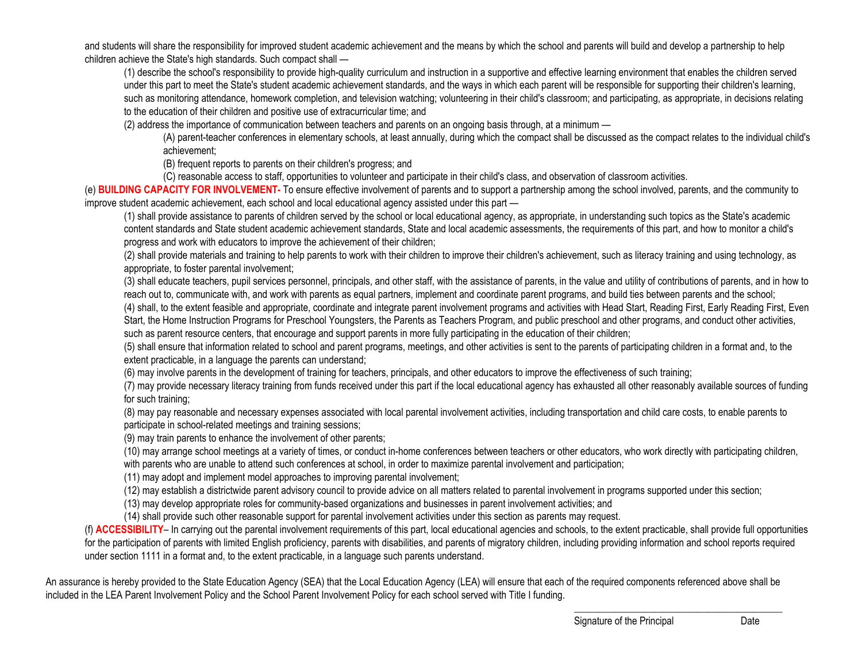and students will share the responsibility for improved student academic achievement and the means by which the school and parents will build and develop a partnership to help children achieve the State's high standards. Such compact shall —

(1) describe the school's responsibility to provide high-quality curriculum and instruction in a supportive and effective learning environment that enables the children served under this part to meet the State's student academic achievement standards, and the ways in which each parent will be responsible for supporting their children's learning, such as monitoring attendance, homework completion, and television watching; volunteering in their child's classroom; and participating, as appropriate, in decisions relating to the education of their children and positive use of extracurricular time; and

(2) address the importance of communication between teachers and parents on an ongoing basis through, at a minimum —

(A) parent-teacher conferences in elementary schools, at least annually, during which the compact shall be discussed as the compact relates to the individual child's achievement;

(B) frequent reports to parents on their children's progress; and

(C) reasonable access to staff, opportunities to volunteer and participate in their child's class, and observation of classroom activities.

(e) **BUILDING CAPACITY FOR INVOLVEMENT-** To ensure effective involvement of parents and to support a partnership among the school involved, parents, and the community to improve student academic achievement, each school and local educational agency assisted under this part —

(1) shall provide assistance to parents of children served by the school or local educational agency, as appropriate, in understanding such topics as the State's academic content standards and State student academic achievement standards, State and local academic assessments, the requirements of this part, and how to monitor a child's progress and work with educators to improve the achievement of their children;

(2) shall provide materials and training to help parents to work with their children to improve their children's achievement, such as literacy training and using technology, as appropriate, to foster parental involvement;

(3) shall educate teachers, pupil services personnel, principals, and other staff, with the assistance of parents, in the value and utility of contributions of parents, and in how to reach out to, communicate with, and work with parents as equal partners, implement and coordinate parent programs, and build ties between parents and the school;

(4) shall, to the extent feasible and appropriate, coordinate and integrate parent involvement programs and activities with Head Start, Reading First, Early Reading First, Even Start, the Home Instruction Programs for Preschool Youngsters, the Parents as Teachers Program, and public preschool and other programs, and conduct other activities, such as parent resource centers, that encourage and support parents in more fully participating in the education of their children;

(5) shall ensure that information related to school and parent programs, meetings, and other activities is sent to the parents of participating children in a format and, to the extent practicable, in a language the parents can understand;

(6) may involve parents in the development of training for teachers, principals, and other educators to improve the effectiveness of such training;

(7) may provide necessary literacy training from funds received under this part if the local educational agency has exhausted all other reasonably available sources of funding for such training;

(8) may pay reasonable and necessary expenses associated with local parental involvement activities, including transportation and child care costs, to enable parents to participate in school-related meetings and training sessions;

(9) may train parents to enhance the involvement of other parents;

(10) may arrange school meetings at a variety of times, or conduct in-home conferences between teachers or other educators, who work directly with participating children, with parents who are unable to attend such conferences at school, in order to maximize parental involvement and participation;

(11) may adopt and implement model approaches to improving parental involvement;

(12) may establish a districtwide parent advisory council to provide advice on all matters related to parental involvement in programs supported under this section;

(13) may develop appropriate roles for community-based organizations and businesses in parent involvement activities; and

(14) shall provide such other reasonable support for parental involvement activities under this section as parents may request.

(f) **ACCESSIBILITY**– In carrying out the parental involvement requirements of this part, local educational agencies and schools, to the extent practicable, shall provide full opportunities for the participation of parents with limited English proficiency, parents with disabilities, and parents of migratory children, including providing information and school reports required under section 1111 in a format and, to the extent practicable, in a language such parents understand.

An assurance is hereby provided to the State Education Agency (SEA) that the Local Education Agency (LEA) will ensure that each of the required components referenced above shall be included in the LEA Parent Involvement Policy and the School Parent Involvement Policy for each school served with Title I funding.

\_\_\_\_\_\_\_\_\_\_\_\_\_\_\_\_\_\_\_\_\_\_\_\_\_\_\_\_\_\_\_\_\_\_\_\_\_\_\_\_\_\_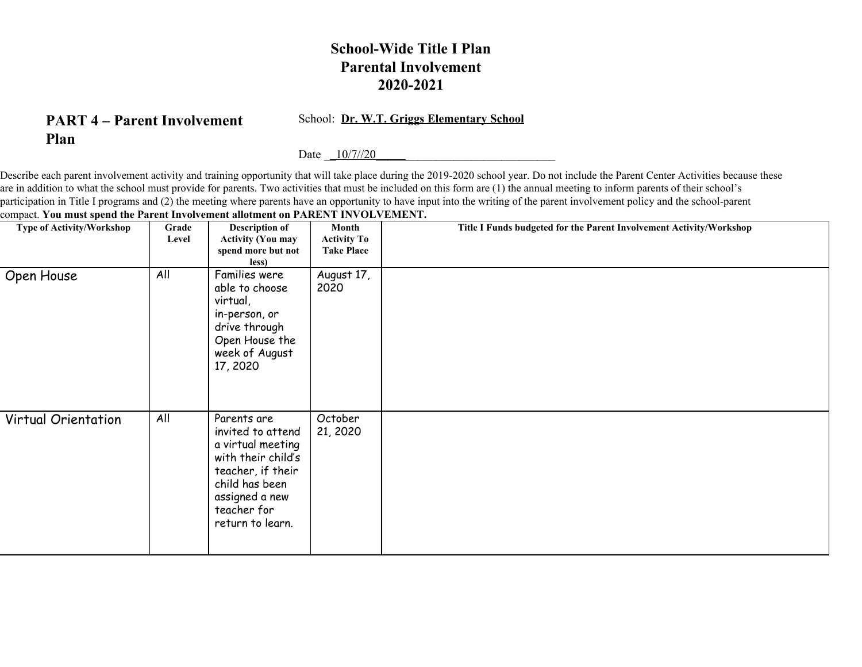# **School-Wide Title I Plan Parental Involvement 2020-2021**

School: **Dr. W.T. Griggs Elementary School**

**PART 4 – Parent Involvement Plan**

Date  $10/7/20$ 

Describe each parent involvement activity and training opportunity that will take place during the 2019-2020 school year. Do not include the Parent Center Activities because these are in addition to what the school must provide for parents. Two activities that must be included on this form are (1) the annual meeting to inform parents of their school's participation in Title I programs and (2) the meeting where parents have an opportunity to have input into the writing of the parent involvement policy and the school-parent compact. **You must spend the Parent Involvement allotment on PARENT INVOLVEMENT.**

| <b>Type of Activity/Workshop</b> | Grade<br>Level | <b>Description of</b><br><b>Activity (You may</b><br>spend more but not<br>less)                                                                                        | Month<br><b>Activity To</b><br><b>Take Place</b> | Title I Funds budgeted for the Parent Involvement Activity/Workshop |
|----------------------------------|----------------|-------------------------------------------------------------------------------------------------------------------------------------------------------------------------|--------------------------------------------------|---------------------------------------------------------------------|
| Open House                       | All            | Families were<br>able to choose<br>virtual,<br>in-person, or<br>drive through<br>Open House the<br>week of August<br>17, 2020                                           | August 17,<br>2020                               |                                                                     |
| Virtual Orientation              | All            | Parents are<br>invited to attend<br>a virtual meeting<br>with their child's<br>teacher, if their<br>child has been<br>assigned a new<br>teacher for<br>return to learn. | October<br>21, 2020                              |                                                                     |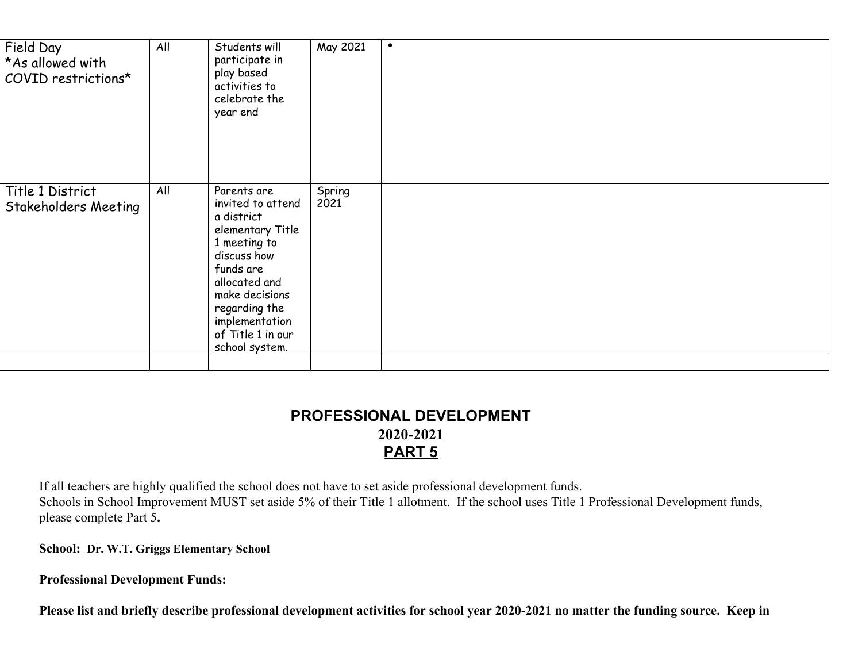| Field Day<br>*As allowed with<br>COVID restrictions* | All | Students will<br>participate in<br>play based<br>activities to<br>celebrate the<br>year end                                                                                                                                 | May 2021       | ٠ |
|------------------------------------------------------|-----|-----------------------------------------------------------------------------------------------------------------------------------------------------------------------------------------------------------------------------|----------------|---|
| Title 1 District<br><b>Stakeholders Meeting</b>      | All | Parents are<br>invited to attend<br>a district<br>elementary Title<br>1 meeting to<br>discuss how<br>funds are<br>allocated and<br>make decisions<br>regarding the<br>implementation<br>of Title 1 in our<br>school system. | Spring<br>2021 |   |

# **PROFESSIONAL DEVELOPMENT 2020-2021 PART 5**

If all teachers are highly qualified the school does not have to set aside professional development funds. Schools in School Improvement MUST set aside 5% of their Title 1 allotment. If the school uses Title 1 Professional Development funds, please complete Part 5**.**

**School: Dr. W.T. Griggs Elementary School**

**Professional Development Funds:**

**Please list and briefly describe professional development activities for school year 2020-2021 no matter the funding source. Keep in**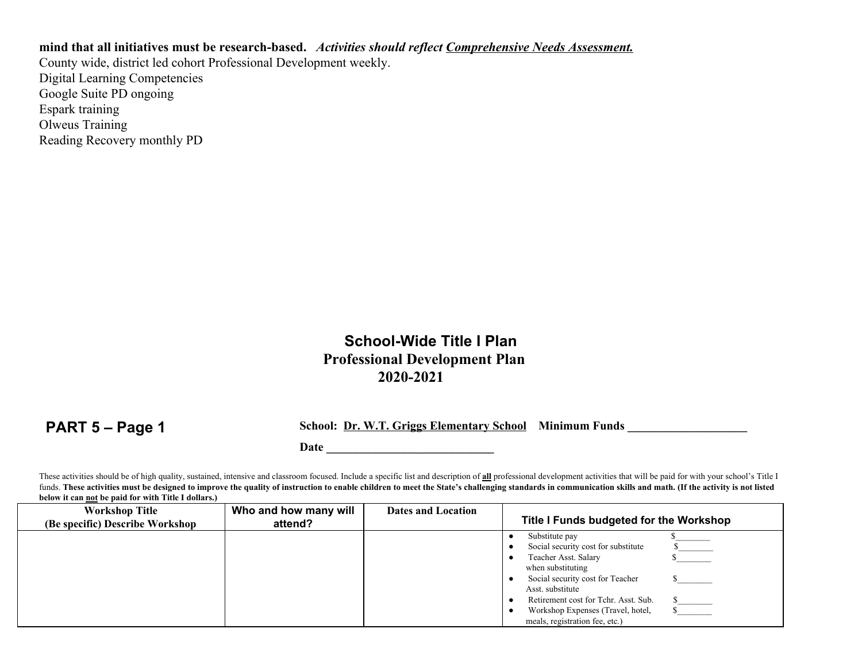## **mind that all initiatives must be research-based.** *Activities should reflect Comprehensive Needs Assessment.*

County wide, district led cohort Professional Development weekly. Digital Learning Competencies Google Suite PD ongoing Espark training Olweus Training Reading Recovery monthly PD

# **School-Wide Title I Plan Professional Development Plan 2020-2021**

# **PART 5 – Page 1 School: Dr. W.T. Griggs Elementary School Minimum Funds \_\_\_\_\_\_\_\_\_\_\_\_\_\_\_\_\_\_\_\_**

**Date \_\_\_\_\_\_\_\_\_\_\_\_\_\_\_\_\_\_\_\_\_\_\_\_\_\_\_\_**

These activities should be of high quality, sustained, intensive and classroom focused. Include a specific list and description of all professional development activities that will be paid for with your school's Title I funds. These activities must be designed to improve the quality of instruction to enable children to meet the State's challenging standards in communication skills and math. (If the activity is not listed **below it can not be paid for with Title I dollars.)**

| <b>Workshop Title</b><br>(Be specific) Describe Workshop | Who and how many will<br>attend? | <b>Dates and Location</b> | Title I Funds budgeted for the Workshop |
|----------------------------------------------------------|----------------------------------|---------------------------|-----------------------------------------|
|                                                          |                                  |                           | Substitute pay                          |
|                                                          |                                  |                           | Social security cost for substitute     |
|                                                          |                                  |                           | Teacher Asst. Salary                    |
|                                                          |                                  |                           | when substituting                       |
|                                                          |                                  |                           | Social security cost for Teacher        |
|                                                          |                                  |                           | Asst. substitute                        |
|                                                          |                                  |                           | Retirement cost for Tchr. Asst. Sub.    |
|                                                          |                                  |                           | Workshop Expenses (Travel, hotel,       |
|                                                          |                                  |                           | meals, registration fee, etc.)          |